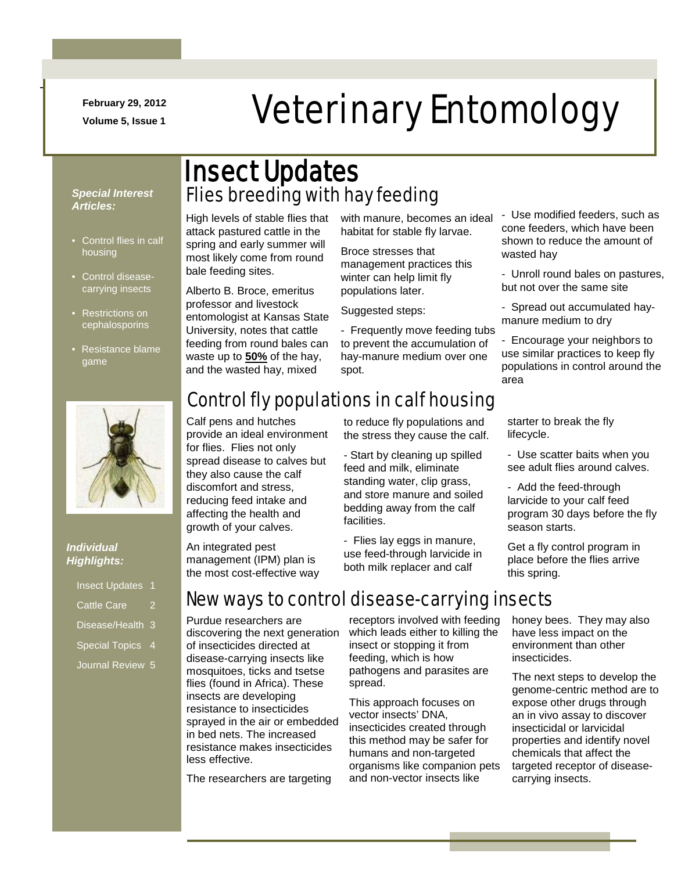**February 29, 2012**

-

# February 29, 2012<br>Veterinary Entomology

#### *Special Interest Articles:*

- Control flies in calf housing
- Control diseasecarrying insects
- Restrictions on cephalosporins
- Resistance blame game



#### *Individual Highlights:*

| <b>Insect Updates</b> | -1 |
|-----------------------|----|
| <b>Cattle Care</b>    | 2  |
| Disease/Health 3      |    |
| Special Topics 4      |    |

Journal Review 5

### Flies breeding with hay feeding Insect Updates

High levels of stable flies that attack pastured cattle in the spring and early summer will most likely come from round bale feeding sites.

Alberto B. Broce, emeritus professor and livestock entomologist at Kansas State University, notes that cattle feeding from round bales can waste up to **50%** of the hay, and the wasted hay, mixed

with manure, becomes an ideal habitat for stable fly larvae.

Broce stresses that management practices this winter can help limit fly populations later.

Suggested steps:

- Frequently move feeding tubs to prevent the accumulation of hay-manure medium over one spot.

Control fly populations in calf housing

Calf pens and hutches provide an ideal environment for flies. Flies not only spread disease to calves but they also cause the calf discomfort and stress, reducing feed intake and affecting the health and growth of your calves.

An integrated pest management (IPM) plan is the most cost-effective way

to reduce fly populations and the stress they cause the calf.

- Start by cleaning up spilled feed and milk, eliminate standing water, clip grass, and store manure and soiled bedding away from the calf facilities.

- Flies lay eggs in manure, use feed-through larvicide in both milk replacer and calf

- Use modified feeders, such as cone feeders, which have been shown to reduce the amount of wasted hay

- Unroll round bales on pastures, but not over the same site

- Spread out accumulated haymanure medium to dry

- Encourage your neighbors to use similar practices to keep fly populations in control around the area

starter to break the fly lifecycle.

- Use scatter baits when you see adult flies around calves.

- Add the feed-through larvicide to your calf feed program 30 days before the fly season starts.

Get a fly control program in place before the flies arrive this spring.

#### New ways to control disease-carrying insects

Purdue researchers are discovering the next generation of insecticides directed at disease-carrying insects like mosquitoes, ticks and tsetse flies (found in Africa). These insects are developing resistance to insecticides sprayed in the air or embedded in bed nets. The increased resistance makes insecticides less effective.

The researchers are targeting

receptors involved with feeding which leads either to killing the insect or stopping it from feeding, which is how pathogens and parasites are spread.

This approach focuses on vector insects' DNA, insecticides created through this method may be safer for humans and non-targeted organisms like companion pets and non-vector insects like

honey bees. They may also have less impact on the environment than other insecticides.

The next steps to develop the genome-centric method are to expose other drugs through an in vivo assay to discover insecticidal or larvicidal properties and identify novel chemicals that affect the targeted receptor of diseasecarrying insects.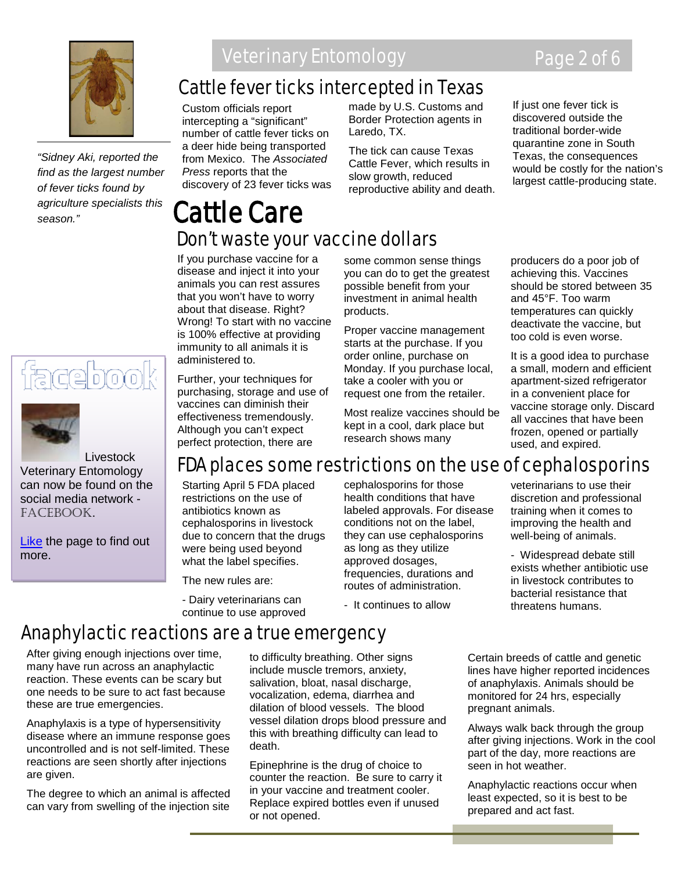

*"Sidney Aki, reported the find as the largest number of fever ticks found by agriculture specialists this season."*

## <u>(3depov</u>



 Livestock Veterinary Entomology can now be found on the social media network facebook.

[Like](http://www.facebook.com/home.php#!/pages/Livestock-Veterinary-Entomology/167510926643206) the page to find out more.

### Veterinary Entomology **Page 2 of 6**

### Cattle fever ticks intercepted in Texas

Custom officials report intercepting a "significant" number of cattle fever ticks on a deer hide being transported from Mexico. The *Associated Press* reports that the discovery of 23 fever ticks was made by U.S. Customs and Border Protection agents in Laredo, TX.

The tick can cause Texas Cattle Fever, which results in slow growth, reduced reproductive ability and death.

#### If just one fever tick is discovered outside the traditional border-wide quarantine zone in South Texas, the consequences would be costly for the nation's largest cattle-producing state.

### Cattle Care Don't waste your vaccine dollars

If you purchase vaccine for a disease and inject it into your animals you can rest assures that you won't have to worry about that disease. Right? Wrong! To start with no vaccine is 100% effective at providing immunity to all animals it is administered to.

Further, your techniques for purchasing, storage and use of vaccines can diminish their effectiveness tremendously. Although you can't expect perfect protection, there are

some common sense things you can do to get the greatest possible benefit from your investment in animal health products.

Proper vaccine management starts at the purchase. If you order online, purchase on Monday. If you purchase local, take a cooler with you or request one from the retailer.

Most realize vaccines should be kept in a cool, dark place but research shows many

producers do a poor job of achieving this. Vaccines should be stored between 35 and 45°F. Too warm temperatures can quickly deactivate the vaccine, but too cold is even worse.

It is a good idea to purchase a small, modern and efficient apartment-sized refrigerator in a convenient place for vaccine storage only. Discard all vaccines that have been frozen, opened or partially used, and expired.

### FDA places some restrictions on the use of cephalosporins

Starting April 5 FDA placed restrictions on the use of antibiotics known as cephalosporins in livestock due to concern that the drugs were being used beyond what the label specifies.

The new rules are:

- Dairy veterinarians can continue to use approved cephalosporins for those health conditions that have labeled approvals. For disease conditions not on the label, they can use cephalosporins as long as they utilize approved dosages, frequencies, durations and routes of administration.

- It continues to allow

veterinarians to use their discretion and professional training when it comes to improving the health and well-being of animals.

- Widespread debate still exists whether antibiotic use in livestock contributes to bacterial resistance that threatens humans.

### Anaphylactic reactions are a true emergency

After giving enough injections over time, many have run across an anaphylactic reaction. These events can be scary but one needs to be sure to act fast because these are true emergencies.

Anaphylaxis is a type of hypersensitivity disease where an immune response goes uncontrolled and is not self-limited. These reactions are seen shortly after injections are given.

The degree to which an animal is affected can vary from swelling of the injection site to difficulty breathing. Other signs include muscle tremors, anxiety, salivation, bloat, nasal discharge, vocalization, edema, diarrhea and dilation of blood vessels. The blood vessel dilation drops blood pressure and this with breathing difficulty can lead to death.

Epinephrine is the drug of choice to counter the reaction. Be sure to carry it in your vaccine and treatment cooler. Replace expired bottles even if unused or not opened.

Certain breeds of cattle and genetic lines have higher reported incidences of anaphylaxis. Animals should be monitored for 24 hrs, especially pregnant animals.

Always walk back through the group after giving injections. Work in the cool part of the day, more reactions are seen in hot weather.

Anaphylactic reactions occur when least expected, so it is best to be prepared and act fast.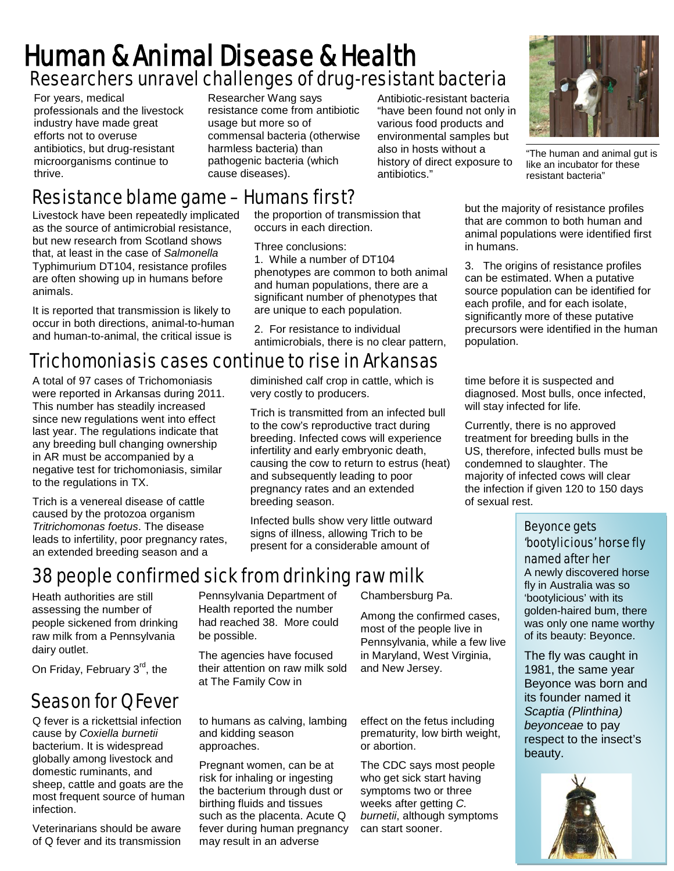### Researchers unravel challenges of drug-resistant bacteria Human & Animal Disease & Health

For years, medical professionals and the livestock industry have made great efforts not to overuse antibiotics, but drug-resistant microorganisms continue to thrive.

Researcher Wang says resistance come from antibiotic usage but more so of commensal bacteria (otherwise harmless bacteria) than pathogenic bacteria (which cause diseases).

Antibiotic-resistant bacteria "have been found not only in various food products and environmental samples but also in hosts without a history of direct exposure to antibiotics."



"The human and animal gut is like an incubator for these resistant bacteria"

#### Resistance blame game – Humans first? the proportion of transmission that

Livestock have been repeatedly implicated as the source of antimicrobial resistance, but new research from Scotland shows that, at least in the case of *Salmonella*  Typhimurium DT104, resistance profiles are often showing up in humans before animals.

It is reported that transmission is likely to occur in both directions, animal-to-human and human-to-animal, the critical issue is

#### Trichomoniasis cases continue to rise in Arkansas

A total of 97 cases of Trichomoniasis were reported in Arkansas during 2011. This number has steadily increased since new regulations went into effect last year. The regulations indicate that any breeding bull changing ownership in AR must be accompanied by a negative test for trichomoniasis, similar to the regulations in TX.

Trich is a venereal disease of cattle caused by the protozoa organism *Tritrichomonas foetus*. The disease leads to infertility, poor pregnancy rates, an extended breeding season and a

occurs in each direction. Three conclusions: 1. While a number of DT104

phenotypes are common to both animal and human populations, there are a significant number of phenotypes that are unique to each population.

2. For resistance to individual antimicrobials, there is no clear pattern,

diminished calf crop in cattle, which is very costly to producers.

Trich is transmitted from an infected bull to the cow's reproductive tract during breeding. Infected cows will experience infertility and early embryonic death, causing the cow to return to estrus (heat) and subsequently leading to poor pregnancy rates and an extended breeding season.

Infected bulls show very little outward signs of illness, allowing Trich to be present for a considerable amount of

### 38 people confirmed sick from drinking raw milk

Heath authorities are still assessing the number of people sickened from drinking raw milk from a Pennsylvania dairy outlet.

On Friday, February 3<sup>rd</sup>, the

### Season for Q Fever

Q fever is a rickettsial infection cause by *Coxiella burnetii*  bacterium. It is widespread globally among livestock and domestic ruminants, and sheep, cattle and goats are the most frequent source of human infection.

Veterinarians should be aware of Q fever and its transmission

Pennsylvania Department of Health reported the number had reached 38. More could be possible.

The agencies have focused their attention on raw milk sold at The Family Cow in

to humans as calving, lambing and kidding season approaches.

Pregnant women, can be at risk for inhaling or ingesting the bacterium through dust or birthing fluids and tissues such as the placenta. Acute Q fever during human pregnancy may result in an adverse

Chambersburg Pa.

Among the confirmed cases, most of the people live in Pennsylvania, while a few live in Maryland, West Virginia, and New Jersey.

effect on the fetus including prematurity, low birth weight, or abortion.

The CDC says most people who get sick start having symptoms two or three weeks after getting *C. burnetii*, although symptoms can start sooner.

but the majority of resistance profiles that are common to both human and animal populations were identified first in humans.

3. The origins of resistance profiles can be estimated. When a putative source population can be identified for each profile, and for each isolate, significantly more of these putative precursors were identified in the human population.

time before it is suspected and diagnosed. Most bulls, once infected, will stay infected for life.

Currently, there is no approved treatment for breeding bulls in the US, therefore, infected bulls must be condemned to slaughter. The majority of infected cows will clear the infection if given 120 to 150 days of sexual rest.

#### Beyonce gets 'bootylicious' horse fly named after her

A newly discovered horse fly in Australia was so 'bootylicious' with its golden-haired bum, there was only one name worthy of its beauty: Beyonce.

The fly was caught in 1981, the same year Beyonce was born and its founder named it *Scaptia (Plinthina) beyonceae* to pay respect to the insect's beauty.

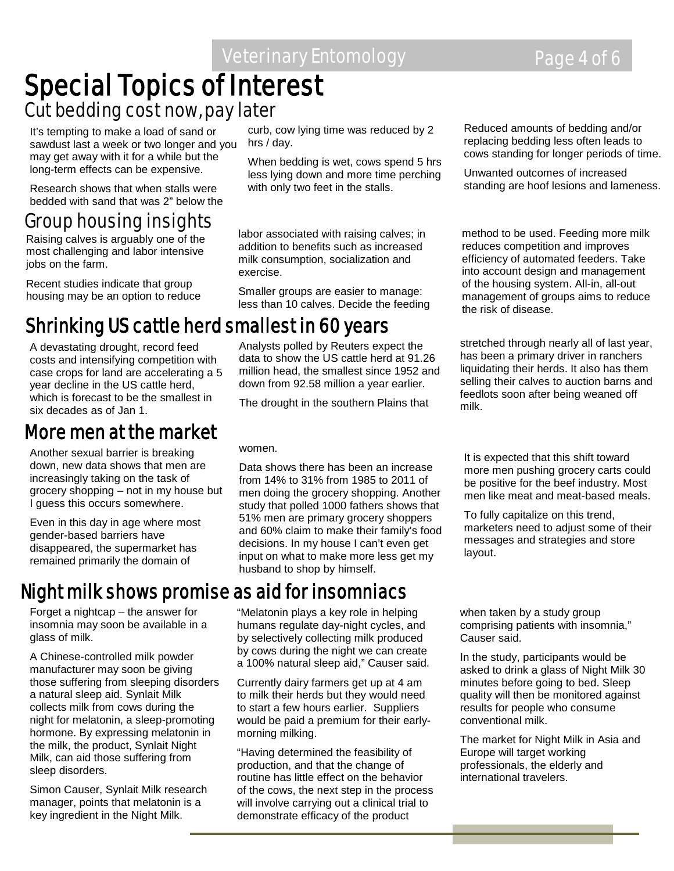# **Special Topics of Interest**<br>Cut bedding cost now, pay later

It's tempting to make a load of sand or sawdust last a week or two longer and you may get away with it for a while but the long-term effects can be expensive.

Research shows that when stalls were bedded with sand that was 2" below the

### **Group housing insights**<br>Reising calves is examply one of the state of abor associated with raising calves; in method to be used. Feeding more milk

Raising calves is arguably one of the most challenging and labor intensive jobs on the farm.

Recent studies indicate that group housing may be an option to reduce

### Shrinking US cattle herd smallest in 60 years

A devastating drought, record feed costs and intensifying competition with case crops for land are accelerating a 5 year decline in the US cattle herd, which is forecast to be the smallest in six decades as of Jan 1.

#### More men at the market

Another sexual barrier is breaking down, new data shows that men are increasingly taking on the task of grocery shopping – not in my house but I guess this occurs somewhere.

Even in this day in age where most gender-based barriers have disappeared, the supermarket has remained primarily the domain of

### Night milk shows promise as aid for insomniacs

Forget a nightcap – the answer for insomnia may soon be available in a glass of milk.

A Chinese-controlled milk powder manufacturer may soon be giving those suffering from sleeping disorders a natural sleep aid. Synlait Milk collects milk from cows during the night for melatonin, a sleep-promoting hormone. By expressing melatonin in the milk, the product, Synlait Night Milk, can aid those suffering from sleep disorders.

Simon Causer, Synlait Milk research manager, points that melatonin is a key ingredient in the Night Milk.

curb, cow lying time was reduced by 2 hrs / day.

When bedding is wet, cows spend 5 hrs less lying down and more time perching with only two feet in the stalls.

labor associated with raising calves; in addition to benefits such as increased milk consumption, socialization and exercise.

Smaller groups are easier to manage: less than 10 calves. Decide the feeding

Analysts polled by Reuters expect the data to show the US cattle herd at 91.26 million head, the smallest since 1952 and down from 92.58 million a year earlier.

The drought in the southern Plains that

women.

Data shows there has been an increase from 14% to 31% from 1985 to 2011 of men doing the grocery shopping. Another study that polled 1000 fathers shows that 51% men are primary grocery shoppers and 60% claim to make their family's food decisions. In my house I can't even get input on what to make more less get my husband to shop by himself.

"Melatonin plays a key role in helping

humans regulate day-night cycles, and by selectively collecting milk produced by cows during the night we can create a 100% natural sleep aid," Causer said.

Currently dairy farmers get up at 4 am to milk their herds but they would need to start a few hours earlier. Suppliers would be paid a premium for their earlymorning milking.

"Having determined the feasibility of production, and that the change of routine has little effect on the behavior of the cows, the next step in the process will involve carrying out a clinical trial to demonstrate efficacy of the product

Reduced amounts of bedding and/or replacing bedding less often leads to cows standing for longer periods of time.

Unwanted outcomes of increased standing are hoof lesions and lameness.

reduces competition and improves efficiency of automated feeders. Take into account design and management of the housing system. All-in, all-out management of groups aims to reduce the risk of disease.

stretched through nearly all of last year, has been a primary driver in ranchers liquidating their herds. It also has them selling their calves to auction barns and feedlots soon after being weaned off milk.

It is expected that this shift toward more men pushing grocery carts could be positive for the beef industry. Most men like meat and meat-based meals.

To fully capitalize on this trend, marketers need to adjust some of their messages and strategies and store layout.

when taken by a study group comprising patients with insomnia," Causer said.

In the study, participants would be asked to drink a glass of Night Milk 30 minutes before going to bed. Sleep quality will then be monitored against results for people who consume conventional milk.

The market for Night Milk in Asia and Europe will target working professionals, the elderly and international travelers.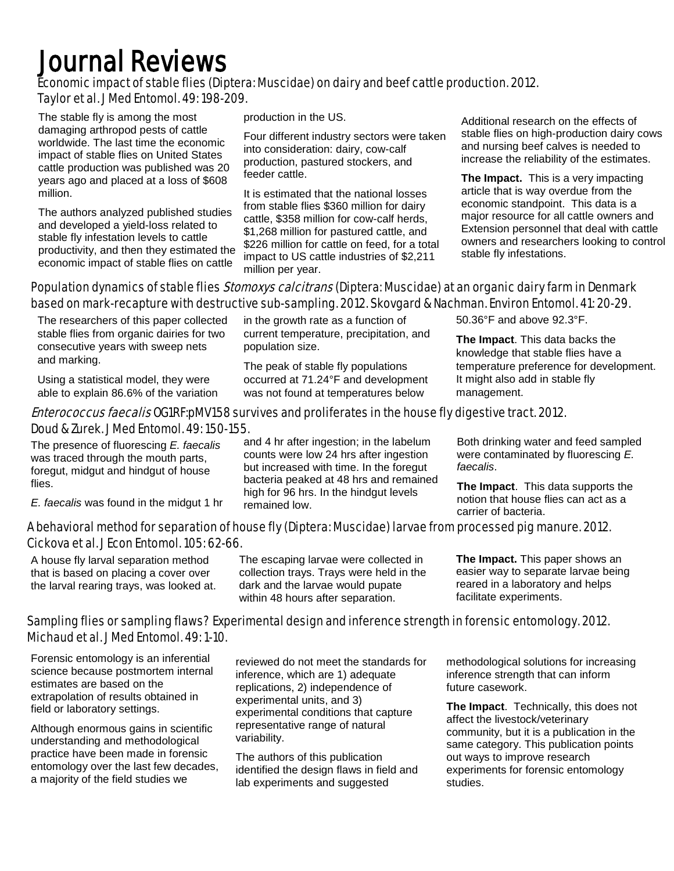## Journal Reviews

#### Economic impact of stable flies (Diptera: Muscidae) on dairy and beef cattle production. 2012. Taylor et al. J Med Entomol. 49: 198-209.

The stable fly is among the most damaging arthropod pests of cattle worldwide. The last time the economic impact of stable flies on United States cattle production was published was 20 years ago and placed at a loss of \$608 million.

The authors analyzed published studies and developed a yield-loss related to stable fly infestation levels to cattle productivity, and then they estimated the economic impact of stable flies on cattle

production in the US.

Four different industry sectors were taken into consideration: dairy, cow-calf production, pastured stockers, and feeder cattle.

It is estimated that the national losses from stable flies \$360 million for dairy cattle, \$358 million for cow-calf herds, \$1,268 million for pastured cattle, and \$226 million for cattle on feed, for a total impact to US cattle industries of \$2,211 million per year.

Additional research on the effects of stable flies on high-production dairy cows and nursing beef calves is needed to increase the reliability of the estimates.

**The Impact.** This is a very impacting article that is way overdue from the economic standpoint. This data is a major resource for all cattle owners and Extension personnel that deal with cattle owners and researchers looking to control stable fly infestations.

#### Population dynamics of stable flies *Stomoxys calcitrans* (Diptera: Muscidae) at an organic dairy farm in Denmark based on mark-recapture with destructive sub-sampling. 2012. Skovgard & Nachman. Environ Entomol. 41: 20-29.

The researchers of this paper collected stable flies from organic dairies for two consecutive years with sweep nets and marking.

Using a statistical model, they were able to explain 86.6% of the variation in the growth rate as a function of current temperature, precipitation, and population size.

The peak of stable fly populations occurred at 71.24°F and development was not found at temperatures below

#### 50.36°F and above 92.3°F.

**The Impact**. This data backs the knowledge that stable flies have a temperature preference for development. It might also add in stable fly management.

#### Enterococcus faecalis OG1RF:pMV158 survives and proliferates in the house fly digestive tract. 2012. Doud & Zurek. J Med Entomol. 49: 150-155.

The presence of fluorescing *E. faecalis* was traced through the mouth parts, foregut, midgut and hindgut of house flies.

*E. faecalis* was found in the midgut 1 hr

and 4 hr after ingestion; in the labelum counts were low 24 hrs after ingestion but increased with time. In the foregut bacteria peaked at 48 hrs and remained high for 96 hrs. In the hindgut levels remained low.

Both drinking water and feed sampled were contaminated by fluorescing *E. faecalis*.

**The Impact**. This data supports the notion that house flies can act as a carrier of bacteria.

#### A behavioral method for separation of house fly (Diptera: Muscidae) larvae from processed pig manure. 2012. Cickova et al. J Econ Entomol. 105: 62-66.

A house fly larval separation method that is based on placing a cover over the larval rearing trays, was looked at.

The escaping larvae were collected in collection trays. Trays were held in the dark and the larvae would pupate within 48 hours after separation.

**The Impact.** This paper shows an easier way to separate larvae being reared in a laboratory and helps facilitate experiments.

#### Sampling flies or sampling flaws? Experimental design and inference strength in forensic entomology. 2012. Michaud et al. J Med Entomol. 49: 1-10.

Forensic entomology is an inferential science because postmortem internal estimates are based on the extrapolation of results obtained in field or laboratory settings.

Although enormous gains in scientific understanding and methodological practice have been made in forensic entomology over the last few decades, a majority of the field studies we

reviewed do not meet the standards for inference, which are 1) adequate replications, 2) independence of experimental units, and 3) experimental conditions that capture representative range of natural variability.

The authors of this publication identified the design flaws in field and lab experiments and suggested

methodological solutions for increasing inference strength that can inform future casework.

**The Impact**. Technically, this does not affect the livestock/veterinary community, but it is a publication in the same category. This publication points out ways to improve research experiments for forensic entomology studies.